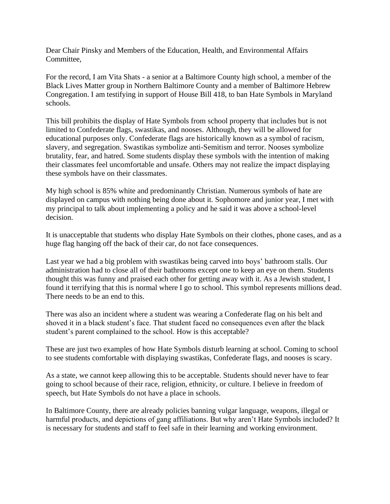Dear Chair Pinsky and Members of the Education, Health, and Environmental Affairs Committee,

For the record, I am Vita Shats - a senior at a Baltimore County high school, a member of the Black Lives Matter group in Northern Baltimore County and a member of Baltimore Hebrew Congregation. I am testifying in support of House Bill 418, to ban Hate Symbols in Maryland schools.

This bill prohibits the display of Hate Symbols from school property that includes but is not limited to Confederate flags, swastikas, and nooses. Although, they will be allowed for educational purposes only. Confederate flags are historically known as a symbol of racism, slavery, and segregation. Swastikas symbolize anti-Semitism and terror. Nooses symbolize brutality, fear, and hatred. Some students display these symbols with the intention of making their classmates feel uncomfortable and unsafe. Others may not realize the impact displaying these symbols have on their classmates.

My high school is 85% white and predominantly Christian. Numerous symbols of hate are displayed on campus with nothing being done about it. Sophomore and junior year, I met with my principal to talk about implementing a policy and he said it was above a school-level decision.

It is unacceptable that students who display Hate Symbols on their clothes, phone cases, and as a huge flag hanging off the back of their car, do not face consequences.

Last year we had a big problem with swastikas being carved into boys' bathroom stalls. Our administration had to close all of their bathrooms except one to keep an eye on them. Students thought this was funny and praised each other for getting away with it. As a Jewish student, I found it terrifying that this is normal where I go to school. This symbol represents millions dead. There needs to be an end to this.

There was also an incident where a student was wearing a Confederate flag on his belt and shoved it in a black student's face. That student faced no consequences even after the black student's parent complained to the school. How is this acceptable?

These are just two examples of how Hate Symbols disturb learning at school. Coming to school to see students comfortable with displaying swastikas, Confederate flags, and nooses is scary.

As a state, we cannot keep allowing this to be acceptable. Students should never have to fear going to school because of their race, religion, ethnicity, or culture. I believe in freedom of speech, but Hate Symbols do not have a place in schools.

In Baltimore County, there are already policies banning vulgar language, weapons, illegal or harmful products, and depictions of gang affiliations. But why aren't Hate Symbols included? It is necessary for students and staff to feel safe in their learning and working environment.